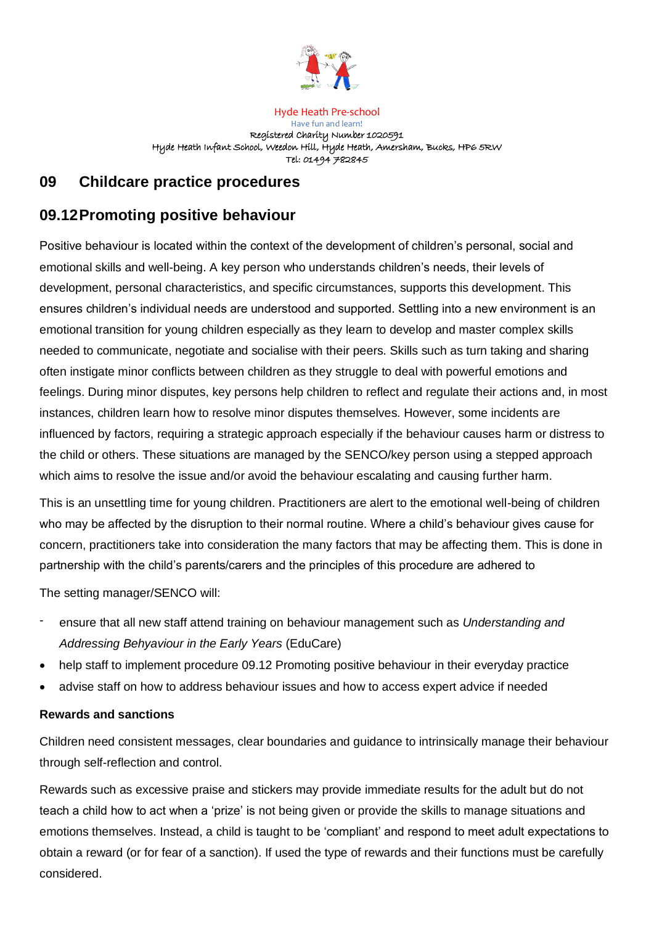

Hyde Heath Pre-school Have fun and learn! Registered Charity Number 1020591 Hyde Heath Infant School, Weedon Hill, Hyde Heath, Amersham, Bucks, HP6 5RW Tel: 01494 782845

# **09 Childcare practice procedures**

# **09.12Promoting positive behaviour**

Positive behaviour is located within the context of the development of children's personal, social and emotional skills and well-being. A key person who understands children's needs, their levels of development, personal characteristics, and specific circumstances, supports this development. This ensures children's individual needs are understood and supported. Settling into a new environment is an emotional transition for young children especially as they learn to develop and master complex skills needed to communicate, negotiate and socialise with their peers. Skills such as turn taking and sharing often instigate minor conflicts between children as they struggle to deal with powerful emotions and feelings. During minor disputes, key persons help children to reflect and regulate their actions and, in most instances, children learn how to resolve minor disputes themselves. However, some incidents are influenced by factors, requiring a strategic approach especially if the behaviour causes harm or distress to the child or others. These situations are managed by the SENCO/key person using a stepped approach which aims to resolve the issue and/or avoid the behaviour escalating and causing further harm.

This is an unsettling time for young children. Practitioners are alert to the emotional well-being of children who may be affected by the disruption to their normal routine. Where a child's behaviour gives cause for concern, practitioners take into consideration the many factors that may be affecting them. This is done in partnership with the child's parents/carers and the principles of this procedure are adhered to

The setting manager/SENCO will:

- ensure that all new staff attend training on behaviour management such as *Understanding and Addressing Behyaviour in the Early Years* (EduCare)
- help staff to implement procedure 09.12 Promoting positive behaviour in their everyday practice
- advise staff on how to address behaviour issues and how to access expert advice if needed

#### **Rewards and sanctions**

Children need consistent messages, clear boundaries and guidance to intrinsically manage their behaviour through self-reflection and control.

Rewards such as excessive praise and stickers may provide immediate results for the adult but do not teach a child how to act when a 'prize' is not being given or provide the skills to manage situations and emotions themselves. Instead, a child is taught to be 'compliant' and respond to meet adult expectations to obtain a reward (or for fear of a sanction). If used the type of rewards and their functions must be carefully considered.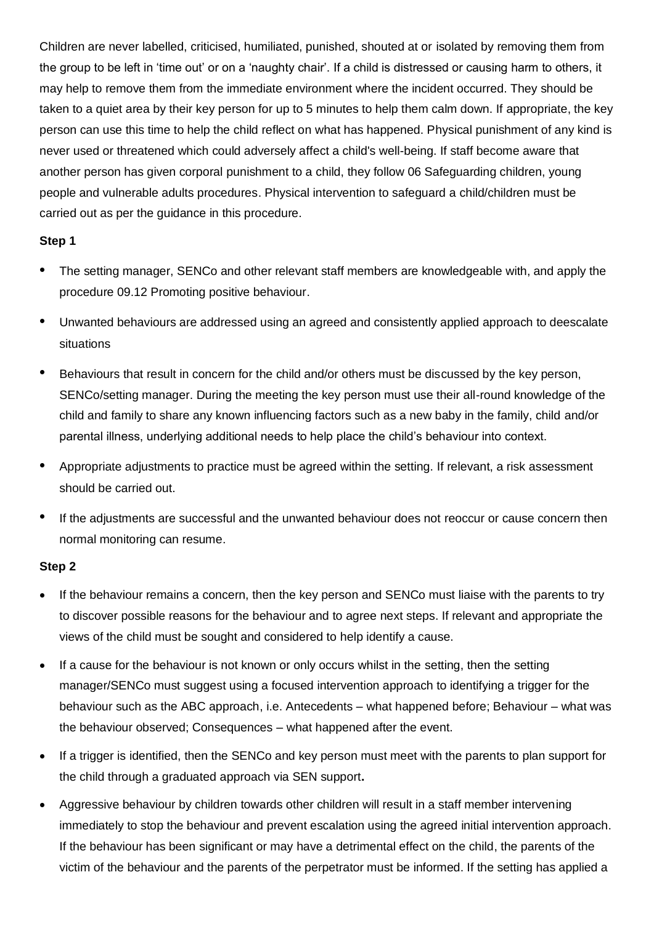Children are never labelled, criticised, humiliated, punished, shouted at or isolated by removing them from the group to be left in 'time out' or on a 'naughty chair'. If a child is distressed or causing harm to others, it may help to remove them from the immediate environment where the incident occurred. They should be taken to a quiet area by their key person for up to 5 minutes to help them calm down. If appropriate, the key person can use this time to help the child reflect on what has happened. Physical punishment of any kind is never used or threatened which could adversely affect a child's well-being. If staff become aware that another person has given corporal punishment to a child, they follow 06 Safeguarding children, young people and vulnerable adults procedures. Physical intervention to safeguard a child/children must be carried out as per the guidance in this procedure.

## **Step 1**

- The setting manager, SENCo and other relevant staff members are knowledgeable with, and apply the procedure 09.12 Promoting positive behaviour.
- Unwanted behaviours are addressed using an agreed and consistently applied approach to deescalate situations
- Behaviours that result in concern for the child and/or others must be discussed by the key person, SENCo/setting manager. During the meeting the key person must use their all-round knowledge of the child and family to share any known influencing factors such as a new baby in the family, child and/or parental illness, underlying additional needs to help place the child's behaviour into context.
- Appropriate adjustments to practice must be agreed within the setting. If relevant, a risk assessment should be carried out.
- If the adjustments are successful and the unwanted behaviour does not reoccur or cause concern then normal monitoring can resume.

# **Step 2**

- If the behaviour remains a concern, then the key person and SENCo must liaise with the parents to try to discover possible reasons for the behaviour and to agree next steps. If relevant and appropriate the views of the child must be sought and considered to help identify a cause.
- If a cause for the behaviour is not known or only occurs whilst in the setting, then the setting manager/SENCo must suggest using a focused intervention approach to identifying a trigger for the behaviour such as the ABC approach, i.e. Antecedents – what happened before; Behaviour – what was the behaviour observed; Consequences – what happened after the event.
- If a trigger is identified, then the SENCo and key person must meet with the parents to plan support for the child through a graduated approach via SEN support**.**
- Aggressive behaviour by children towards other children will result in a staff member intervening immediately to stop the behaviour and prevent escalation using the agreed initial intervention approach. If the behaviour has been significant or may have a detrimental effect on the child, the parents of the victim of the behaviour and the parents of the perpetrator must be informed. If the setting has applied a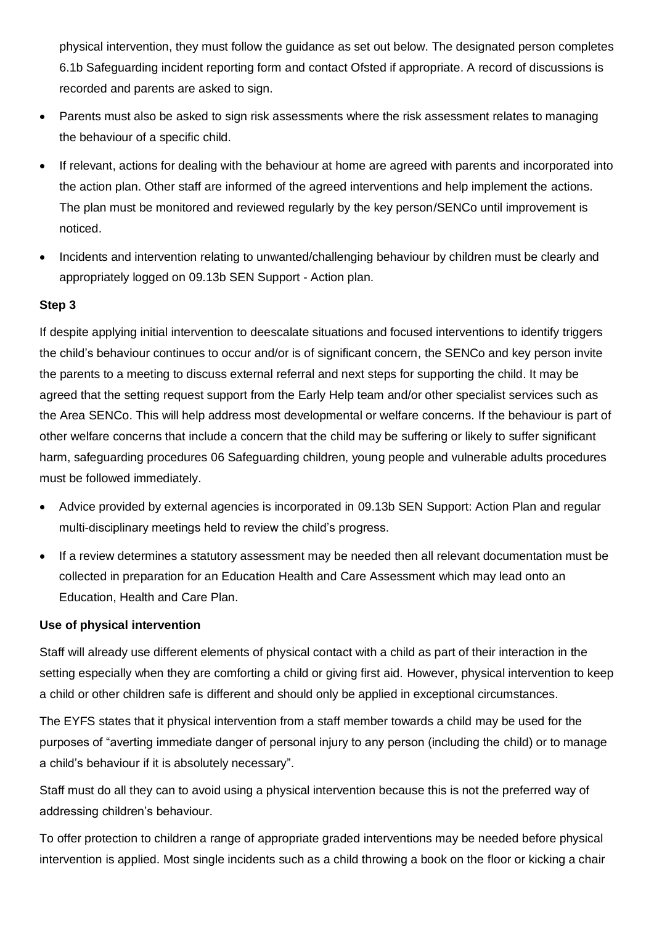physical intervention, they must follow the guidance as set out below. The designated person completes 6.1b Safeguarding incident reporting form and contact Ofsted if appropriate. A record of discussions is recorded and parents are asked to sign.

- Parents must also be asked to sign risk assessments where the risk assessment relates to managing the behaviour of a specific child.
- If relevant, actions for dealing with the behaviour at home are agreed with parents and incorporated into the action plan. Other staff are informed of the agreed interventions and help implement the actions. The plan must be monitored and reviewed regularly by the key person/SENCo until improvement is noticed.
- Incidents and intervention relating to unwanted/challenging behaviour by children must be clearly and appropriately logged on 09.13b SEN Support - Action plan.

# **Step 3**

If despite applying initial intervention to deescalate situations and focused interventions to identify triggers the child's behaviour continues to occur and/or is of significant concern, the SENCo and key person invite the parents to a meeting to discuss external referral and next steps for supporting the child. It may be agreed that the setting request support from the Early Help team and/or other specialist services such as the Area SENCo. This will help address most developmental or welfare concerns. If the behaviour is part of other welfare concerns that include a concern that the child may be suffering or likely to suffer significant harm, safeguarding procedures 06 Safeguarding children, young people and vulnerable adults procedures must be followed immediately.

- Advice provided by external agencies is incorporated in 09.13b SEN Support: Action Plan and regular multi-disciplinary meetings held to review the child's progress.
- If a review determines a statutory assessment may be needed then all relevant documentation must be collected in preparation for an Education Health and Care Assessment which may lead onto an Education, Health and Care Plan.

#### **Use of physical intervention**

Staff will already use different elements of physical contact with a child as part of their interaction in the setting especially when they are comforting a child or giving first aid. However, physical intervention to keep a child or other children safe is different and should only be applied in exceptional circumstances.

The EYFS states that it physical intervention from a staff member towards a child may be used for the purposes of "averting immediate danger of personal injury to any person (including the child) or to manage a child's behaviour if it is absolutely necessary".

Staff must do all they can to avoid using a physical intervention because this is not the preferred way of addressing children's behaviour.

To offer protection to children a range of appropriate graded interventions may be needed before physical intervention is applied. Most single incidents such as a child throwing a book on the floor or kicking a chair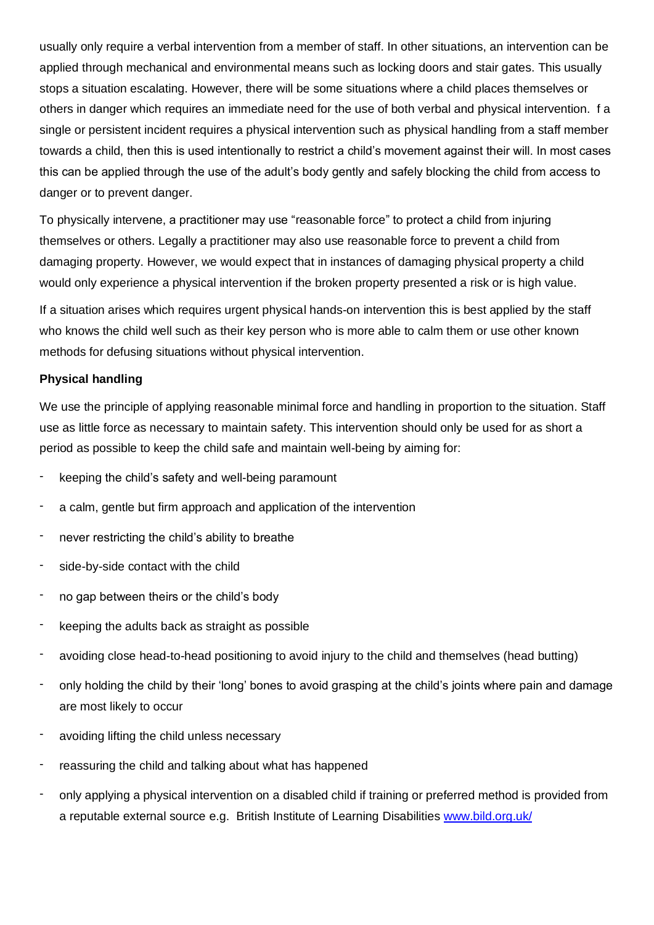usually only require a verbal intervention from a member of staff. In other situations, an intervention can be applied through mechanical and environmental means such as locking doors and stair gates. This usually stops a situation escalating. However, there will be some situations where a child places themselves or others in danger which requires an immediate need for the use of both verbal and physical intervention. f a single or persistent incident requires a physical intervention such as physical handling from a staff member towards a child, then this is used intentionally to restrict a child's movement against their will. In most cases this can be applied through the use of the adult's body gently and safely blocking the child from access to danger or to prevent danger.

To physically intervene, a practitioner may use "reasonable force" to protect a child from injuring themselves or others. Legally a practitioner may also use reasonable force to prevent a child from damaging property. However, we would expect that in instances of damaging physical property a child would only experience a physical intervention if the broken property presented a risk or is high value.

If a situation arises which requires urgent physical hands-on intervention this is best applied by the staff who knows the child well such as their key person who is more able to calm them or use other known methods for defusing situations without physical intervention.

## **Physical handling**

We use the principle of applying reasonable minimal force and handling in proportion to the situation. Staff use as little force as necessary to maintain safety. This intervention should only be used for as short a period as possible to keep the child safe and maintain well-being by aiming for:

- keeping the child's safety and well-being paramount
- a calm, gentle but firm approach and application of the intervention
- never restricting the child's ability to breathe
- side-by-side contact with the child
- no gap between theirs or the child's body
- keeping the adults back as straight as possible
- avoiding close head-to-head positioning to avoid injury to the child and themselves (head butting)
- only holding the child by their 'long' bones to avoid grasping at the child's joints where pain and damage are most likely to occur
- avoiding lifting the child unless necessary
- reassuring the child and talking about what has happened
- only applying a physical intervention on a disabled child if training or preferred method is provided from a reputable external source e.g. British Institute of Learning Disabilities [www.bild.org.uk/](http://www.bild.org.uk/)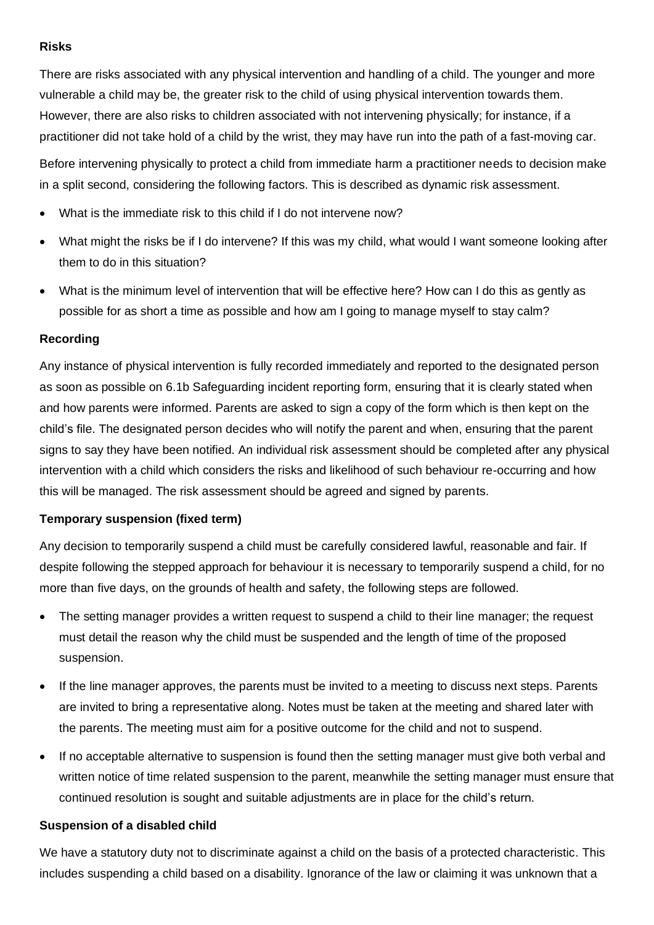## **Risks**

There are risks associated with any physical intervention and handling of a child. The younger and more vulnerable a child may be, the greater risk to the child of using physical intervention towards them. However, there are also risks to children associated with not intervening physically; for instance, if a practitioner did not take hold of a child by the wrist, they may have run into the path of a fast-moving car.

Before intervening physically to protect a child from immediate harm a practitioner needs to decision make in a split second, considering the following factors. This is described as dynamic risk assessment.

- What is the immediate risk to this child if I do not intervene now?
- What might the risks be if I do intervene? If this was my child, what would I want someone looking after them to do in this situation?
- What is the minimum level of intervention that will be effective here? How can I do this as gently as possible for as short a time as possible and how am I going to manage myself to stay calm?

# **Recording**

Any instance of physical intervention is fully recorded immediately and reported to the designated person as soon as possible on 6.1b Safeguarding incident reporting form, ensuring that it is clearly stated when and how parents were informed. Parents are asked to sign a copy of the form which is then kept on the child's file. The designated person decides who will notify the parent and when, ensuring that the parent signs to say they have been notified. An individual risk assessment should be completed after any physical intervention with a child which considers the risks and likelihood of such behaviour re-occurring and how this will be managed. The risk assessment should be agreed and signed by parents.

# **Temporary suspension (fixed term)**

Any decision to temporarily suspend a child must be carefully considered lawful, reasonable and fair. If despite following the stepped approach for behaviour it is necessary to temporarily suspend a child, for no more than five days, on the grounds of health and safety, the following steps are followed.

- The setting manager provides a written request to suspend a child to their line manager; the request must detail the reason why the child must be suspended and the length of time of the proposed suspension.
- If the line manager approves, the parents must be invited to a meeting to discuss next steps. Parents are invited to bring a representative along. Notes must be taken at the meeting and shared later with the parents. The meeting must aim for a positive outcome for the child and not to suspend.
- If no acceptable alternative to suspension is found then the setting manager must give both verbal and written notice of time related suspension to the parent, meanwhile the setting manager must ensure that continued resolution is sought and suitable adjustments are in place for the child's return.

## **Suspension of a disabled child**

We have a statutory duty not to discriminate against a child on the basis of a protected characteristic. This includes suspending a child based on a disability. Ignorance of the law or claiming it was unknown that a